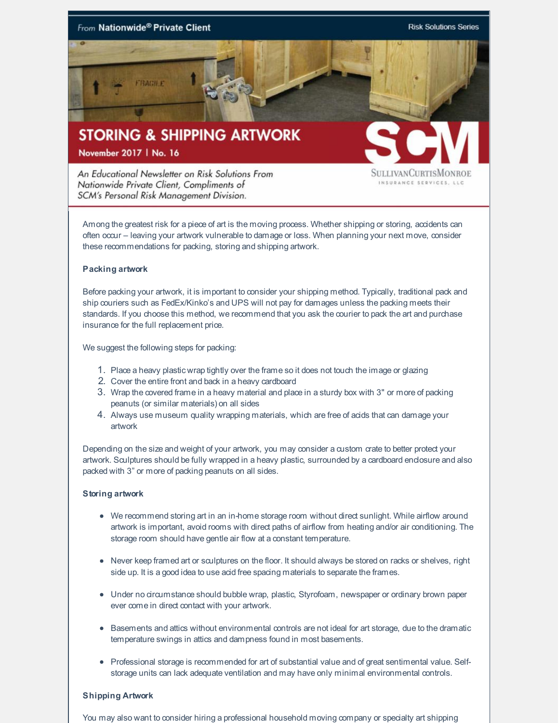

An Educational Newsletter on Risk Solutions From Nationwide Private Client, Compliments of SCM's Personal Risk Management Division.

SULLIVANCURTISMONROI INSURANCE SERVICES, LLC

Among the greatest risk for a piece of art is the moving process. Whether shipping or storing, accidents can often occur – leaving your artwork vulnerable to damage or loss. When planning your next move, consider these recommendations for packing, storing and shipping artwork.

## **Packing artwork**

Before packing your artwork, it is important to consider your shipping method. Typically, traditional pack and ship couriers such as FedEx/Kinko's and UPS will not pay for damages unless the packing meets their standards. If you choose this method, we recommend that you ask the courier to pack the art and purchase insurance for the full replacement price.

We suggest the following steps for packing:

- 1. Place a heavy plastic wrap tightly over the frame so it does not touch the image or glazing
- 2. Cover the entire front and back in a heavy cardboard
- 3. Wrap the covered frame in a heavy material and place in a sturdy box with 3" or more of packing peanuts (or similar materials) on all sides
- 4. Always use museum quality wrapping materials, which are free of acids that can damage your artwork

Depending on the size and weight of your artwork, you may consider a custom crate to better protect your artwork. Sculptures should be fully wrapped in a heavy plastic, surrounded by a cardboard enclosure and also packed with 3" or more of packing peanuts on all sides.

## **Storing artwork**

- We recommend storing art in an in-home storage room without direct sunlight. While airflow around artwork is important, avoid rooms with direct paths of airflow from heating and/or air conditioning. The storage room should have gentle air flow at a constant temperature.
- Never keep framed art or sculptures on the floor. It should always be stored on racks or shelves, right side up. It is a good idea to use acid free spacing materials to separate the frames.
- Under no circumstance should bubble wrap, plastic, Styrofoam, newspaper or ordinary brown paper ever come in direct contact with your artwork.
- **Basements and attics without environmental controls are not ideal for art storage, due to the dramatic** temperature swings in attics and dampness found in most basements.
- Professional storage is recommended for art of substantial value and of great sentimental value. Selfstorage units can lack adequate ventilation and may have only minimal environmental controls.

## **Shipping Artwork**

You may also want to consider hiring a professional household moving company or specialty art shipping